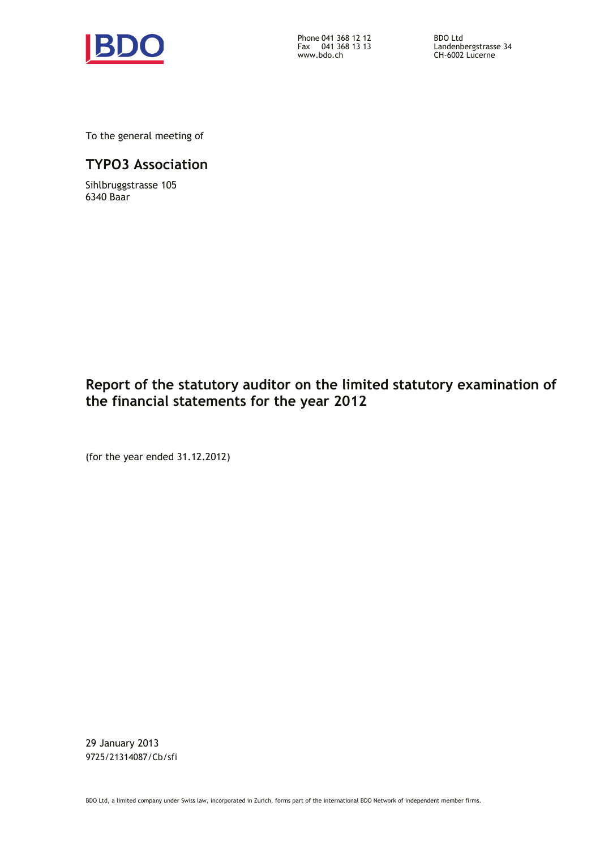

Phone Fax 041 368 12 12 041 368 13 13 www.bdo.ch

BDO Ltd Landenbergstrasse 34 CH-6002 Lucerne

To the general meeting of

## **TYPO3 Association**

Sihlbruggstrasse 105 6340 Baar

# **Report of the statutory auditor on the limited statutory examination of the financial statements for the year 2012**

(for the year ended 31.12.2012)

29 January 2013 9725/21314087/Cb/sfi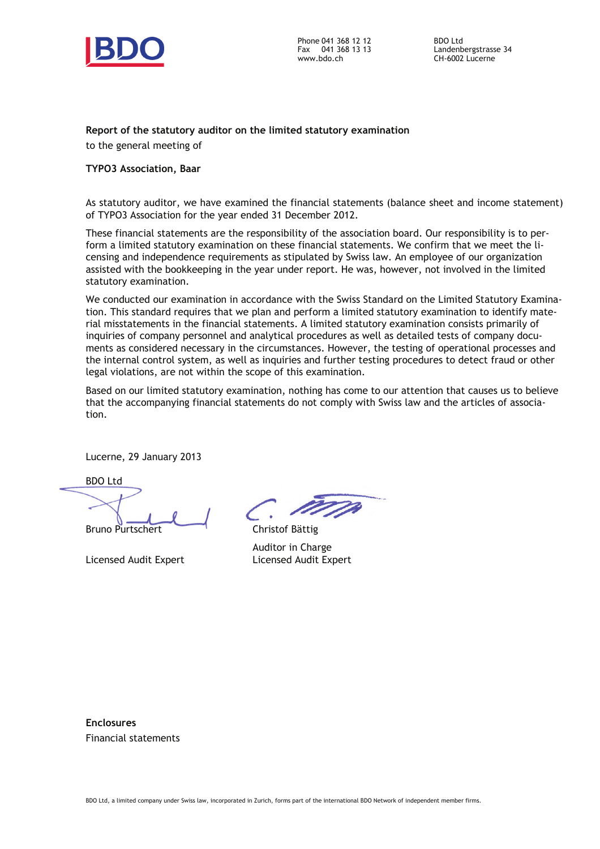

Phone 041 368 12 12 Fax 041 368 13 13 www.bdo.ch

BDO Ltd Landenbergstrasse 34 CH-6002 Lucerne

#### **Report of the statutory auditor on the limited statutory examination**

to the general meeting of

#### **TYPO3 Association, Baar**

As statutory auditor, we have examined the financial statements (balance sheet and income statement) of TYPO3 Association for the year ended 31 December 2012.

These financial statements are the responsibility of the association board. Our responsibility is to perform a limited statutory examination on these financial statements. We confirm that we meet the licensing and independence requirements as stipulated by Swiss law. An employee of our organization assisted with the bookkeeping in the year under report. He was, however, not involved in the limited statutory examination.

We conducted our examination in accordance with the Swiss Standard on the Limited Statutory Examination. This standard requires that we plan and perform a limited statutory examination to identify material misstatements in the financial statements. A limited statutory examination consists primarily of inquiries of company personnel and analytical procedures as well as detailed tests of company documents as considered necessary in the circumstances. However, the testing of operational processes and the internal control system, as well as inquiries and further testing procedures to detect fraud or other legal violations, are not within the scope of this examination.

Based on our limited statutory examination, nothing has come to our attention that causes us to believe that the accompanying financial statements do not comply with Swiss law and the articles of association.

Lucerne, 29 January 2013

BDO Ltd

Bruno Purtschert

Licensed Audit Expert

Christof Bättig Auditor in Charge Licensed Audit Expert

**Enclosures**  Financial statements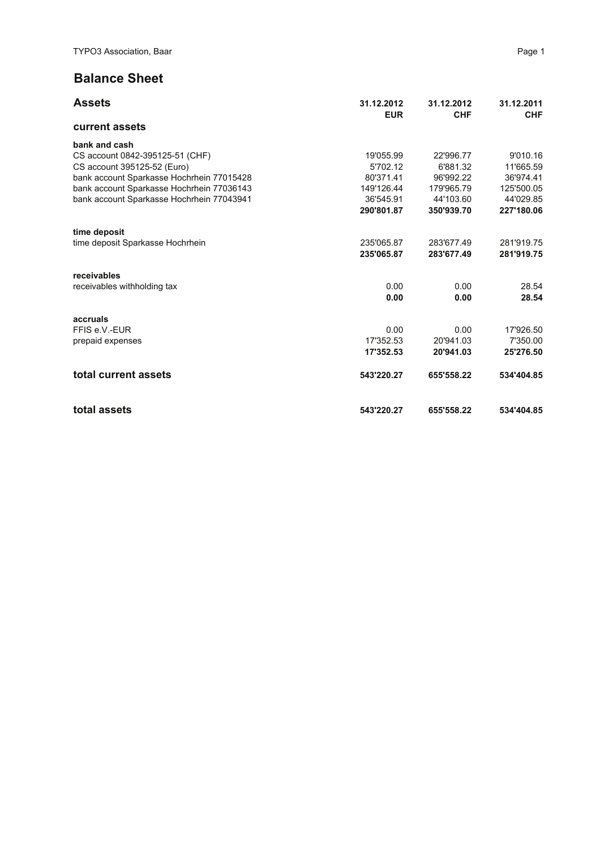## **Balance Sheet**

| <b>Assets</b>                             | 31.12.2012<br><b>EUR</b> | 31.12.2012<br><b>CHF</b> | 31.12.2011<br><b>CHF</b> |
|-------------------------------------------|--------------------------|--------------------------|--------------------------|
| current assets                            |                          |                          |                          |
| bank and cash                             |                          |                          |                          |
| CS account 0842-395125-51 (CHF)           | 19'055.99                | 22'996.77                | 9'010.16                 |
| CS account 395125-52 (Euro)               | 5'702.12                 | 6'881.32                 | 11'665.59                |
| bank account Sparkasse Hochrhein 77015428 | 80'371.41                | 96'992.22                | 36'974.41                |
| bank account Sparkasse Hochrhein 77036143 | 149'126.44               | 179'965.79               | 125'500.05               |
| bank account Sparkasse Hochrhein 77043941 | 36'545.91                | 44'103.60                | 44'029.85                |
|                                           | 290'801.87               | 350'939.70               | 227'180.06               |
| time deposit                              |                          |                          |                          |
| time deposit Sparkasse Hochrhein          | 235'065.87               | 283'677.49               | 281'919.75               |
|                                           | 235'065.87               | 283'677.49               | 281'919.75               |
| receivables                               |                          |                          |                          |
| receivables withholding tax               | 0.00                     | 0.00                     | 28.54                    |
|                                           | 0.00                     | 0.00                     | 28.54                    |
| accruals                                  |                          |                          |                          |
| FFIS e.V.-EUR                             | 0.00                     | 0.00                     | 17'926.50                |
| prepaid expenses                          | 17'352.53                | 20'941.03                | 7'350.00                 |
|                                           | 17'352.53                | 20'941.03                | 25'276.50                |
| total current assets                      | 543'220.27               | 655'558.22               | 534'404.85               |
| total assets                              | 543'220.27               | 655'558.22               | 534'404.85               |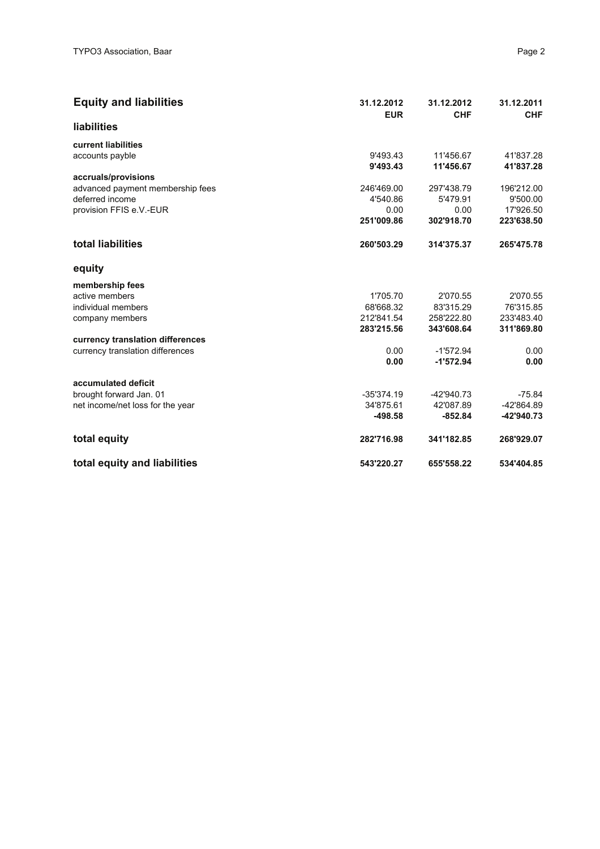| <b>Equity and liabilities</b>    | 31.12.2012<br><b>EUR</b> | 31.12.2012<br><b>CHF</b> | 31.12.2011<br><b>CHF</b> |
|----------------------------------|--------------------------|--------------------------|--------------------------|
| liabilities                      |                          |                          |                          |
| current liabilities              |                          |                          |                          |
| accounts payble                  | 9'493.43                 | 11'456.67                | 41'837.28                |
|                                  | 9'493.43                 | 11'456.67                | 41'837.28                |
| accruals/provisions              |                          |                          |                          |
| advanced payment membership fees | 246'469.00               | 297'438.79               | 196'212.00               |
| deferred income                  | 4'540.86                 | 5'479.91                 | 9'500.00                 |
| provision FFIS e.V.-EUR          | 0.00                     | 0.00                     | 17'926.50                |
|                                  | 251'009.86               | 302'918.70               | 223'638.50               |
| total liabilities                | 260'503.29               | 314'375.37               | 265'475.78               |
| equity                           |                          |                          |                          |
| membership fees                  |                          |                          |                          |
| active members                   | 1'705.70                 | 2'070.55                 | 2'070.55                 |
| individual members               | 68'668.32                | 83'315.29                | 76'315.85                |
| company members                  | 212'841.54               | 258'222.80               | 233'483.40               |
|                                  | 283'215.56               | 343'608.64               | 311'869.80               |
| currency translation differences |                          |                          |                          |
| currency translation differences | 0.00                     | $-1'572.94$              | 0.00                     |
|                                  | 0.00                     | $-1'572.94$              | 0.00                     |
| accumulated deficit              |                          |                          |                          |
| brought forward Jan. 01          | $-35'374.19$             | $-42'940.73$             | $-75.84$                 |
| net income/net loss for the year | 34'875.61                | 42'087.89                | -42'864.89               |
|                                  | $-498.58$                | $-852.84$                | -42'940.73               |
| total equity                     | 282'716.98               | 341'182.85               | 268'929.07               |
| total equity and liabilities     | 543'220.27               | 655'558.22               | 534'404.85               |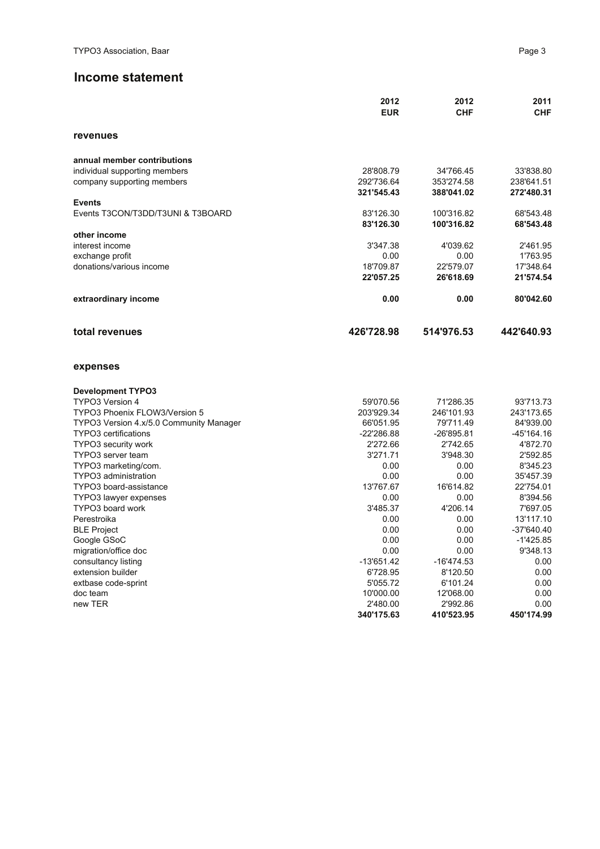### **Income statement**

|                                         | 2012<br><b>EUR</b>     | 2012<br><b>CHF</b>     | 2011<br><b>CHF</b> |
|-----------------------------------------|------------------------|------------------------|--------------------|
| revenues                                |                        |                        |                    |
| annual member contributions             |                        |                        |                    |
| individual supporting members           | 28'808.79              | 34'766.45              | 33'838.80          |
| company supporting members              | 292'736.64             | 353'274.58             | 238'641.51         |
|                                         | 321'545.43             | 388'041.02             | 272'480.31         |
| <b>Events</b>                           |                        |                        |                    |
| Events T3CON/T3DD/T3UNI & T3BOARD       | 83'126.30              | 100'316.82             | 68'543.48          |
|                                         | 83'126.30              | 100'316.82             | 68'543.48          |
| other income                            |                        |                        |                    |
| interest income                         | 3'347.38               | 4'039.62               | 2'461.95           |
| exchange profit                         | 0.00                   | 0.00                   | 1'763.95           |
| donations/various income                | 18'709.87              | 22'579.07              | 17'348.64          |
|                                         | 22'057.25              | 26'618.69              | 21'574.54          |
| extraordinary income                    | 0.00                   | 0.00                   | 80'042.60          |
| total revenues                          | 426'728.98             | 514'976.53             | 442'640.93         |
| expenses                                |                        |                        |                    |
| <b>Development TYPO3</b>                |                        |                        |                    |
| TYPO3 Version 4                         | 59'070.56              | 71'286.35              | 93'713.73          |
| TYPO3 Phoenix FLOW3/Version 5           | 203'929.34             | 246'101.93             | 243'173.65         |
| TYPO3 Version 4.x/5.0 Community Manager | 66'051.95              | 79'711.49              | 84'939.00          |
| TYPO3 certifications                    | $-22'286.88$           | -26'895.81             | $-45'164.16$       |
| <b>TYPO3 security work</b>              | 2'272.66               | 2'742.65               | 4'872.70           |
| TYPO3 server team                       | 3'271.71               | 3'948.30               | 2'592.85           |
| TYPO3 marketing/com.                    | 0.00                   | 0.00                   | 8'345.23           |
| TYPO3 administration                    | 0.00                   | 0.00                   | 35'457.39          |
| TYPO3 board-assistance                  | 13'767.67              | 16'614.82              | 22'754.01          |
| TYPO3 lawyer expenses                   | 0.00                   | 0.00                   | 8'394.56           |
| TYPO3 board work                        | 3'485.37               | 4'206.14               | 7'697.05           |
| Perestroika                             | 0.00                   | 0.00                   | 13'117.10          |
| <b>BLE Project</b>                      | 0.00                   | 0.00                   | -37'640.40         |
| Google GSoC                             | 0.00                   | 0.00                   | $-1'425.85$        |
| migration/office doc                    | 0.00                   | 0.00                   | 9'348.13           |
| consultancy listing                     | $-13'651.42$           | $-16'474.53$           | 0.00               |
| extension builder                       | 6'728.95               | 8'120.50               | 0.00               |
| extbase code-sprint                     | 5'055.72               | 6'101.24               | 0.00               |
| doc team                                | 10'000.00              | 12'068.00              | 0.00               |
| new TER                                 | 2'480.00<br>340'175.63 | 2'992.86<br>410'523.95 | 0.00<br>450'174.99 |